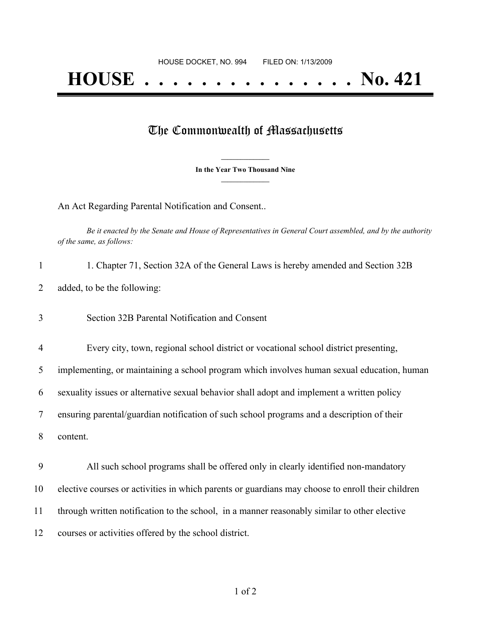## The Commonwealth of Massachusetts

**\_\_\_\_\_\_\_\_\_\_\_\_\_\_\_ In the Year Two Thousand Nine \_\_\_\_\_\_\_\_\_\_\_\_\_\_\_**

An Act Regarding Parental Notification and Consent..

Be it enacted by the Senate and House of Representatives in General Court assembled, and by the authority *of the same, as follows:*

| 1. Chapter 71, Section 32A of the General Laws is hereby amended and Section 32B |
|----------------------------------------------------------------------------------|
| added, to be the following:                                                      |

- 3 Section 32B Parental Notification and Consent
- 4 Every city, town, regional school district or vocational school district presenting,

5 implementing, or maintaining a school program which involves human sexual education, human

6 sexuality issues or alternative sexual behavior shall adopt and implement a written policy

7 ensuring parental/guardian notification of such school programs and a description of their

8 content.

 All such school programs shall be offered only in clearly identified non-mandatory elective courses or activities in which parents or guardians may choose to enroll their children through written notification to the school, in a manner reasonably similar to other elective courses or activities offered by the school district.